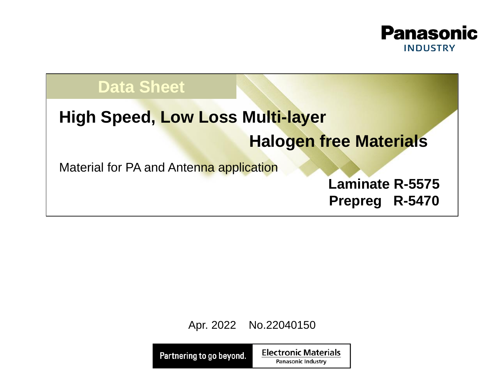

## **Data Sheet**

# **High Speed, Low Loss Multi-layer**

## **Halogen free Materials**

Material for PA and Antenna application

**Laminate R-5575 Prepreg R-5470**

Apr. 2022 No.22040150

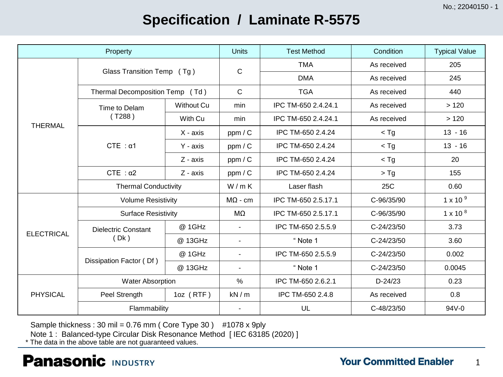No.; 22040150 - 1

## **Specification / Laminate R-5575**

|                   | Property                        |                   | <b>Units</b>   | <b>Test Method</b>  | Condition      | <b>Typical Value</b> |
|-------------------|---------------------------------|-------------------|----------------|---------------------|----------------|----------------------|
|                   | Glass Transition Temp (Tg)      |                   | $\mathsf{C}$   | <b>TMA</b>          | As received    | 205                  |
|                   |                                 |                   |                | <b>DMA</b>          | As received    | 245                  |
|                   | Thermal Decomposition Temp (Td) |                   | $\mathbf C$    | <b>TGA</b>          | As received    | 440                  |
|                   | Time to Delam                   | <b>Without Cu</b> | min            | IPC TM-650 2.4.24.1 | As received    | >120                 |
| <b>THERMAL</b>    | ( T288 )                        | With Cu           | min            | IPC TM-650 2.4.24.1 | As received    | >120                 |
|                   |                                 | $X - axis$        | ppm/C          | IPC TM-650 2.4.24   | $<$ Tg         | $13 - 16$            |
|                   | $CTE : \alpha1$                 | Y - axis          | ppm/C          | IPC TM-650 2.4.24   | $<$ Tg         | $13 - 16$            |
|                   |                                 | Z - axis          | ppm/C          | IPC TM-650 2.4.24   | $<$ Tg         | 20                   |
|                   | $CTE : \alpha2$                 | Z - axis          | ppm/C          | IPC TM-650 2.4.24   | $>$ Tg         | 155                  |
|                   | <b>Thermal Conductivity</b>     |                   | W/mK           | Laser flash         | 25C            | 0.60                 |
|                   | <b>Volume Resistivity</b>       |                   | $M\Omega$ - cm | IPC TM-650 2.5.17.1 | C-96/35/90     | $1 \times 10^{9}$    |
|                   | <b>Surface Resistivity</b>      |                   | MΩ             | IPC TM-650 2.5.17.1 | C-96/35/90     | $1 \times 10^{8}$    |
| <b>ELECTRICAL</b> | <b>Dielectric Constant</b>      | @ 1GHz            | $\blacksquare$ | IPC TM-650 2.5.5.9  | $C - 24/23/50$ | 3.73                 |
|                   | (Dk)                            | @ 13GHz           | $\blacksquare$ | "Note 1             | C-24/23/50     | 3.60                 |
|                   |                                 | @ 1GHz            | $\frac{1}{2}$  | IPC TM-650 2.5.5.9  | C-24/23/50     | 0.002                |
|                   | Dissipation Factor (Df)         | @ 13GHz           | $\blacksquare$ | "Note 1             | C-24/23/50     | 0.0045               |
|                   | <b>Water Absorption</b>         |                   | $\frac{0}{0}$  | IPC TM-650 2.6.2.1  | $D-24/23$      | 0.23                 |
| <b>PHYSICAL</b>   | Peel Strength                   | $1oz$ (RTF)       |                | IPC TM-650 2.4.8    | As received    | 0.8                  |
|                   | Flammability                    |                   |                | UL                  | C-48/23/50     | 94V-0                |

Sample thickness : 30 mil =  $0.76$  mm ( Core Type 30 ) #1078 x 9ply

Note 1 : Balanced-type Circular Disk Resonance Method [ IEC 63185 (2020) ]

\* The data in the above table are not guaranteed values.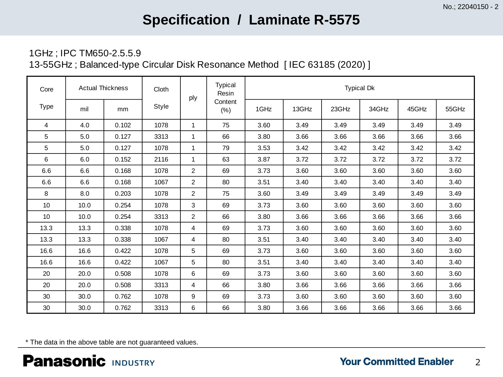## **Specification / Laminate R-5575**

### 1GHz ; IPC TM650-2.5.5.9

13-55GHz ; Balanced-type Circular Disk Resonance Method [ IEC 63185 (2020) ]

| Core        | <b>Actual Thickness</b> |       | Cloth | ply            | <b>Typical</b><br>Resin | <b>Typical Dk</b> |       |       |       |       |       |
|-------------|-------------------------|-------|-------|----------------|-------------------------|-------------------|-------|-------|-------|-------|-------|
| <b>Type</b> | mil                     | mm    | Style |                | Content<br>(% )         | 1GHz              | 13GHz | 23GHz | 34GHz | 45GHz | 55GHz |
| 4           | 4.0                     | 0.102 | 1078  | 1              | 75                      | 3.60              | 3.49  | 3.49  | 3.49  | 3.49  | 3.49  |
| 5           | 5.0                     | 0.127 | 3313  | 1              | 66                      | 3.80              | 3.66  | 3.66  | 3.66  | 3.66  | 3.66  |
| 5           | 5.0                     | 0.127 | 1078  | 1              | 79                      | 3.53              | 3.42  | 3.42  | 3.42  | 3.42  | 3.42  |
| 6           | 6.0                     | 0.152 | 2116  | 1              | 63                      | 3.87              | 3.72  | 3.72  | 3.72  | 3.72  | 3.72  |
| 6.6         | 6.6                     | 0.168 | 1078  | $\overline{2}$ | 69                      | 3.73              | 3.60  | 3.60  | 3.60  | 3.60  | 3.60  |
| 6.6         | 6.6                     | 0.168 | 1067  | $\overline{2}$ | 80                      | 3.51              | 3.40  | 3.40  | 3.40  | 3.40  | 3.40  |
| 8           | 8.0                     | 0.203 | 1078  | $\overline{2}$ | 75                      | 3.60              | 3.49  | 3.49  | 3.49  | 3.49  | 3.49  |
| 10          | 10.0                    | 0.254 | 1078  | 3              | 69                      | 3.73              | 3.60  | 3.60  | 3.60  | 3.60  | 3.60  |
| 10          | 10.0                    | 0.254 | 3313  | 2              | 66                      | 3.80              | 3.66  | 3.66  | 3.66  | 3.66  | 3.66  |
| 13.3        | 13.3                    | 0.338 | 1078  | 4              | 69                      | 3.73              | 3.60  | 3.60  | 3.60  | 3.60  | 3.60  |
| 13.3        | 13.3                    | 0.338 | 1067  | 4              | 80                      | 3.51              | 3.40  | 3.40  | 3.40  | 3.40  | 3.40  |
| 16.6        | 16.6                    | 0.422 | 1078  | 5              | 69                      | 3.73              | 3.60  | 3.60  | 3.60  | 3.60  | 3.60  |
| 16.6        | 16.6                    | 0.422 | 1067  | 5              | 80                      | 3.51              | 3.40  | 3.40  | 3.40  | 3.40  | 3.40  |
| 20          | 20.0                    | 0.508 | 1078  | 6              | 69                      | 3.73              | 3.60  | 3.60  | 3.60  | 3.60  | 3.60  |
| 20          | 20.0                    | 0.508 | 3313  | 4              | 66                      | 3.80              | 3.66  | 3.66  | 3.66  | 3.66  | 3.66  |
| 30          | 30.0                    | 0.762 | 1078  | 9              | 69                      | 3.73              | 3.60  | 3.60  | 3.60  | 3.60  | 3.60  |
| 30          | 30.0                    | 0.762 | 3313  | 6              | 66                      | 3.80              | 3.66  | 3.66  | 3.66  | 3.66  | 3.66  |

\* The data in the above table are not guaranteed values.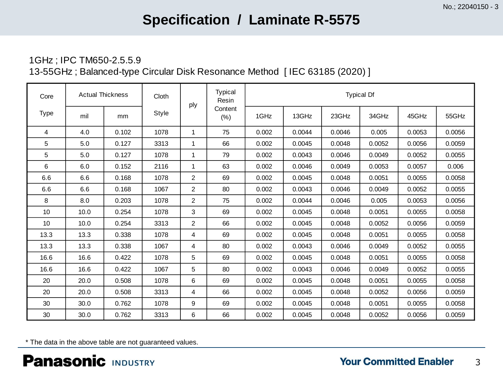## **Specification / Laminate R-5575**

### 1GHz ; IPC TM650-2.5.5.9 13-55GHz ; Balanced-type Circular Disk Resonance Method [ IEC 63185 (2020) ]

| Core | <b>Actual Thickness</b> |       | Cloth | ply            | <b>Typical</b><br>Resin | <b>Typical Df</b> |        |        |        |        |        |
|------|-------------------------|-------|-------|----------------|-------------------------|-------------------|--------|--------|--------|--------|--------|
| Type | mil                     | mm    | Style |                | Content<br>(% )         | 1GHz              | 13GHz  | 23GHz  | 34GHz  | 45GHz  | 55GHz  |
| 4    | 4.0                     | 0.102 | 1078  | 1              | 75                      | 0.002             | 0.0044 | 0.0046 | 0.005  | 0.0053 | 0.0056 |
| 5    | 5.0                     | 0.127 | 3313  | 1              | 66                      | 0.002             | 0.0045 | 0.0048 | 0.0052 | 0.0056 | 0.0059 |
| 5    | 5.0                     | 0.127 | 1078  | 1              | 79                      | 0.002             | 0.0043 | 0.0046 | 0.0049 | 0.0052 | 0.0055 |
| 6    | 6.0                     | 0.152 | 2116  | $\mathbf{1}$   | 63                      | 0.002             | 0.0046 | 0.0049 | 0.0053 | 0.0057 | 0.006  |
| 6.6  | 6.6                     | 0.168 | 1078  | $\overline{2}$ | 69                      | 0.002             | 0.0045 | 0.0048 | 0.0051 | 0.0055 | 0.0058 |
| 6.6  | 6.6                     | 0.168 | 1067  | $\overline{2}$ | 80                      | 0.002             | 0.0043 | 0.0046 | 0.0049 | 0.0052 | 0.0055 |
| 8    | 8.0                     | 0.203 | 1078  | $\overline{2}$ | 75                      | 0.002             | 0.0044 | 0.0046 | 0.005  | 0.0053 | 0.0056 |
| 10   | 10.0                    | 0.254 | 1078  | 3              | 69                      | 0.002             | 0.0045 | 0.0048 | 0.0051 | 0.0055 | 0.0058 |
| 10   | 10.0                    | 0.254 | 3313  | $\overline{c}$ | 66                      | 0.002             | 0.0045 | 0.0048 | 0.0052 | 0.0056 | 0.0059 |
| 13.3 | 13.3                    | 0.338 | 1078  | 4              | 69                      | 0.002             | 0.0045 | 0.0048 | 0.0051 | 0.0055 | 0.0058 |
| 13.3 | 13.3                    | 0.338 | 1067  | 4              | 80                      | 0.002             | 0.0043 | 0.0046 | 0.0049 | 0.0052 | 0.0055 |
| 16.6 | 16.6                    | 0.422 | 1078  | 5              | 69                      | 0.002             | 0.0045 | 0.0048 | 0.0051 | 0.0055 | 0.0058 |
| 16.6 | 16.6                    | 0.422 | 1067  | 5              | 80                      | 0.002             | 0.0043 | 0.0046 | 0.0049 | 0.0052 | 0.0055 |
| 20   | 20.0                    | 0.508 | 1078  | 6              | 69                      | 0.002             | 0.0045 | 0.0048 | 0.0051 | 0.0055 | 0.0058 |
| 20   | 20.0                    | 0.508 | 3313  | 4              | 66                      | 0.002             | 0.0045 | 0.0048 | 0.0052 | 0.0056 | 0.0059 |
| 30   | 30.0                    | 0.762 | 1078  | 9              | 69                      | 0.002             | 0.0045 | 0.0048 | 0.0051 | 0.0055 | 0.0058 |
| 30   | 30.0                    | 0.762 | 3313  | 6              | 66                      | 0.002             | 0.0045 | 0.0048 | 0.0052 | 0.0056 | 0.0059 |

\* The data in the above table are not guaranteed values.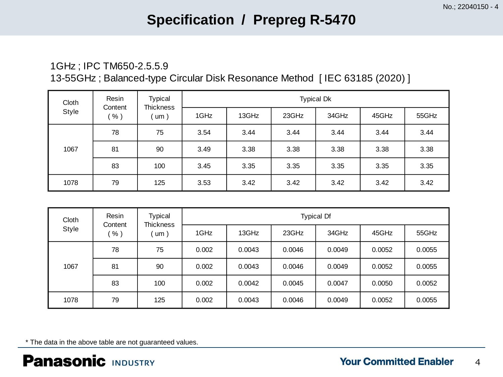## **Specification / Prepreg R-5470**

### 1GHz ; IPC TM650-2.5.5.9 13-55GHz ; Balanced-type Circular Disk Resonance Method [ IEC 63185 (2020) ]

| Cloth<br>Style | Resin<br>Content<br>$%$ ) | Typical<br><b>Thickness</b><br>$^{\prime}$ um $)$ | <b>Typical Dk</b> |       |       |       |       |       |  |
|----------------|---------------------------|---------------------------------------------------|-------------------|-------|-------|-------|-------|-------|--|
|                |                           |                                                   | 1GHz              | 13GHz | 23GHz | 34GHz | 45GHz | 55GHz |  |
| 1067           | 78                        | 75                                                | 3.54              | 3.44  | 3.44  | 3.44  | 3.44  | 3.44  |  |
|                | 81                        | 90                                                | 3.49              | 3.38  | 3.38  | 3.38  | 3.38  | 3.38  |  |
|                | 83                        | 100                                               | 3.45              | 3.35  | 3.35  | 3.35  | 3.35  | 3.35  |  |
| 1078           | 79                        | 125                                               | 3.53              | 3.42  | 3.42  | 3.42  | 3.42  | 3.42  |  |

| Cloth<br><b>Style</b> | Resin<br>Content | <b>Typical</b><br><b>Thickness</b><br>um) | <b>Typical Df</b> |        |        |        |        |        |  |
|-----------------------|------------------|-------------------------------------------|-------------------|--------|--------|--------|--------|--------|--|
|                       | $%$ )            |                                           | 1GHz              | 13GHz  | 23GHz  | 34GHz  | 45GHz  | 55GHz  |  |
| 1067                  | 78               | 75                                        | 0.002             | 0.0043 | 0.0046 | 0.0049 | 0.0052 | 0.0055 |  |
|                       | 81               | 90                                        | 0.002             | 0.0043 | 0.0046 | 0.0049 | 0.0052 | 0.0055 |  |
|                       | 83               | 100                                       | 0.002             | 0.0042 | 0.0045 | 0.0047 | 0.0050 | 0.0052 |  |
| 1078                  | 79               | 125                                       | 0.002             | 0.0043 | 0.0046 | 0.0049 | 0.0052 | 0.0055 |  |

\* The data in the above table are not guaranteed values.